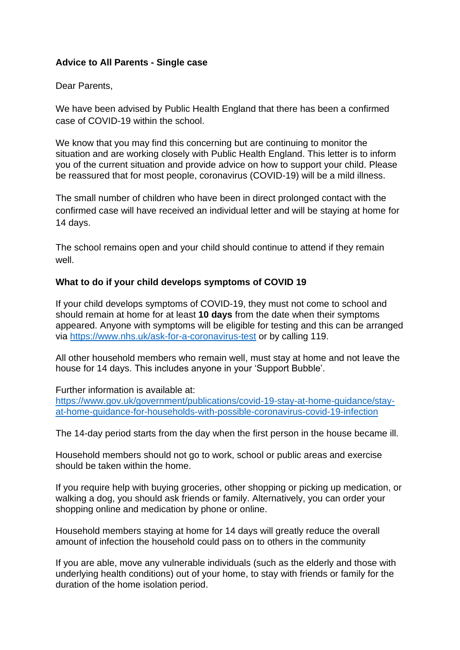## **Advice to All Parents - Single case**

#### Dear Parents,

We have been advised by Public Health England that there has been a confirmed case of COVID-19 within the school.

We know that you may find this concerning but are continuing to monitor the situation and are working closely with Public Health England. This letter is to inform you of the current situation and provide advice on how to support your child. Please be reassured that for most people, coronavirus (COVID-19) will be a mild illness.

The small number of children who have been in direct prolonged contact with the confirmed case will have received an individual letter and will be staying at home for 14 days.

The school remains open and your child should continue to attend if they remain well.

#### **What to do if your child develops symptoms of COVID 19**

If your child develops symptoms of COVID-19, they must not come to school and should remain at home for at least **10 days** from the date when their symptoms appeared. Anyone with symptoms will be eligible for testing and this can be arranged via<https://www.nhs.uk/ask-for-a-coronavirus-test> or by calling 119.

All other household members who remain well, must stay at home and not leave the house for 14 days. This includes anyone in your 'Support Bubble'.

Further information is available at:

[https://www.gov.uk/government/publications/covid-19-stay-at-home-guidance/stay](https://www.gov.uk/government/publications/covid-19-stay-at-home-guidance/stay-at-home-guidance-for-households-with-possible-coronavirus-covid-19-infection)[at-home-guidance-for-households-with-possible-coronavirus-covid-19-infection](https://www.gov.uk/government/publications/covid-19-stay-at-home-guidance/stay-at-home-guidance-for-households-with-possible-coronavirus-covid-19-infection)

The 14-day period starts from the day when the first person in the house became ill.

Household members should not go to work, school or public areas and exercise should be taken within the home.

If you require help with buying groceries, other shopping or picking up medication, or walking a dog, you should ask friends or family. Alternatively, you can order your shopping online and medication by phone or online.

Household members staying at home for 14 days will greatly reduce the overall amount of infection the household could pass on to others in the community

If you are able, move any vulnerable individuals (such as the elderly and those with underlying health conditions) out of your home, to stay with friends or family for the duration of the home isolation period.